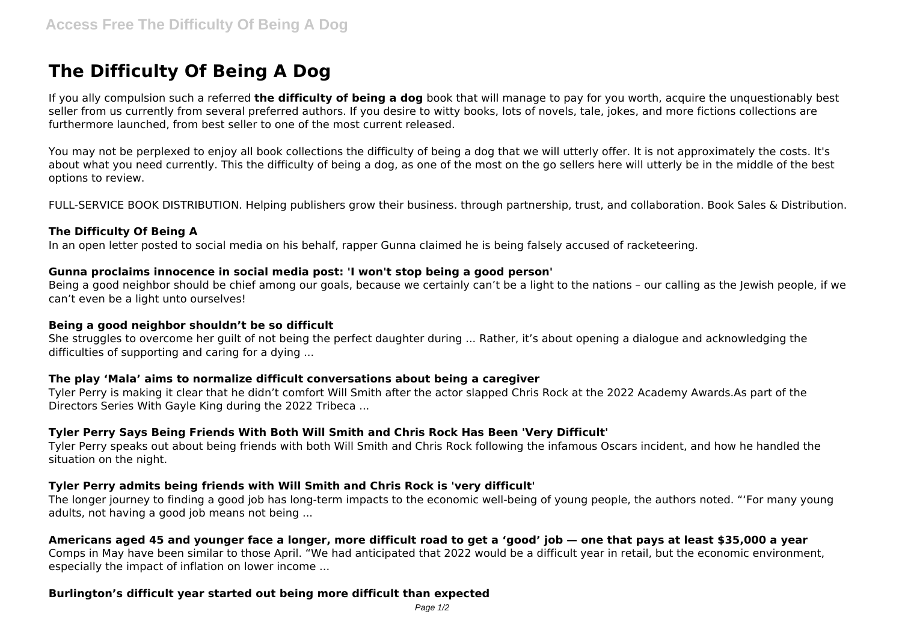# **The Difficulty Of Being A Dog**

If you ally compulsion such a referred **the difficulty of being a dog** book that will manage to pay for you worth, acquire the unquestionably best seller from us currently from several preferred authors. If you desire to witty books, lots of novels, tale, jokes, and more fictions collections are furthermore launched, from best seller to one of the most current released.

You may not be perplexed to enjoy all book collections the difficulty of being a dog that we will utterly offer. It is not approximately the costs. It's about what you need currently. This the difficulty of being a dog, as one of the most on the go sellers here will utterly be in the middle of the best options to review.

FULL-SERVICE BOOK DISTRIBUTION. Helping publishers grow their business. through partnership, trust, and collaboration. Book Sales & Distribution.

## **The Difficulty Of Being A**

In an open letter posted to social media on his behalf, rapper Gunna claimed he is being falsely accused of racketeering.

## **Gunna proclaims innocence in social media post: 'I won't stop being a good person'**

Being a good neighbor should be chief among our goals, because we certainly can't be a light to the nations – our calling as the Jewish people, if we can't even be a light unto ourselves!

## **Being a good neighbor shouldn't be so difficult**

She struggles to overcome her guilt of not being the perfect daughter during ... Rather, it's about opening a dialogue and acknowledging the difficulties of supporting and caring for a dying ...

## **The play 'Mala' aims to normalize difficult conversations about being a caregiver**

Tyler Perry is making it clear that he didn't comfort Will Smith after the actor slapped Chris Rock at the 2022 Academy Awards.As part of the Directors Series With Gayle King during the 2022 Tribeca ...

## **Tyler Perry Says Being Friends With Both Will Smith and Chris Rock Has Been 'Very Difficult'**

Tyler Perry speaks out about being friends with both Will Smith and Chris Rock following the infamous Oscars incident, and how he handled the situation on the night.

## **Tyler Perry admits being friends with Will Smith and Chris Rock is 'very difficult'**

The longer journey to finding a good job has long-term impacts to the economic well-being of young people, the authors noted. "'For many young adults, not having a good job means not being ...

## **Americans aged 45 and younger face a longer, more difficult road to get a 'good' job — one that pays at least \$35,000 a year**

Comps in May have been similar to those April. "We had anticipated that 2022 would be a difficult year in retail, but the economic environment, especially the impact of inflation on lower income ...

## **Burlington's difficult year started out being more difficult than expected**